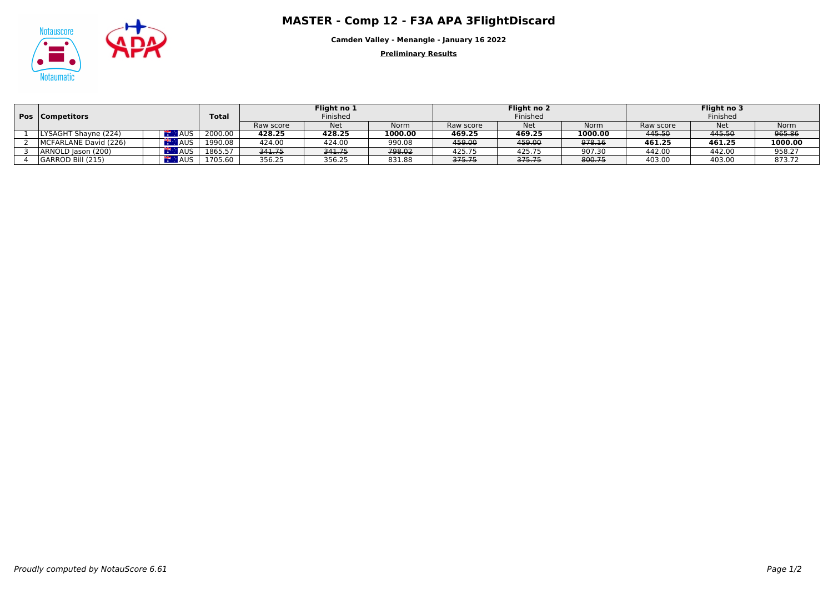## Matauscore **APA ADA APA 3FlightDiscard**<br>
MASTER - Comp 12 - F3A APA 3FlightDiscard



**Camden Valley - Menangle - January 16 2022**

**Preliminary Results**

|  | <b>Pos   Competitors</b> |                         | <b>Total</b> | Flight no 1<br>Finished |            |         | Flight no 2 |            |             | Flight no 3 |            |         |
|--|--------------------------|-------------------------|--------------|-------------------------|------------|---------|-------------|------------|-------------|-------------|------------|---------|
|  |                          |                         |              |                         |            |         | Finished    |            |             | Finished    |            |         |
|  |                          |                         |              | Raw score               | <b>Net</b> | Norm    | Raw score   | <b>Net</b> | <b>Norm</b> | Raw score   | <b>Net</b> | Norm    |
|  | LYSAGHT Shayne (224)     | $\mathbb{R}$ AUS        | 2000.00      | 428.25                  | 428.25     | 1000.00 | 469.25      | 469.25     | 1000.00     | 445.50      | 445.50     | 965.86  |
|  | MCFARLANE David (226)    | AR M<br>$\triangle$ AUS | 1990.08      | 424.00                  | 424.00     | 990.08  | 459.00      | 459.00     | 978.16      | 461.25      | 461.25     | 1000.00 |
|  | ARNOLD Jason (200)       |                         | 1865.57      | 341.75                  | 341.75     | 798.02  | 425.75      | 425.75     | 907.30      | 442.00      | 442.00     | 958.27  |
|  | GARROD Bill (215)        | A AUS                   | 1705.60      | 356.25                  | 356.25     | 831.88  | 375.75      | 375.75     | 800.75      | 403.00      | 403.00     | 873.72  |